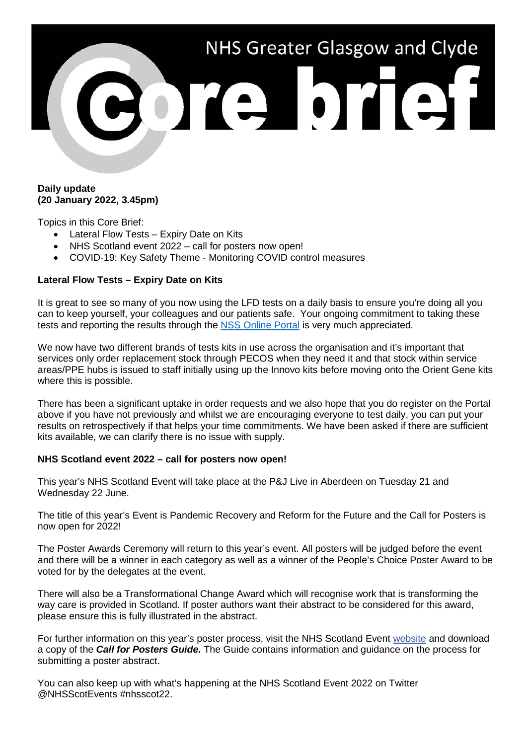

## **Daily update (20 January 2022, 3.45pm)**

Topics in this Core Brief:

- Lateral Flow Tests Expiry Date on Kits
- NHS Scotland event 2022 call for posters now open!
- COVID-19: Key Safety Theme Monitoring COVID control measures

## **Lateral Flow Tests – Expiry Date on Kits**

It is great to see so many of you now using the LFD tests on a daily basis to ensure you're doing all you can to keep yourself, your colleagues and our patients safe. Your ongoing commitment to taking these tests and reporting the results through the [NSS Online Portal](https://nhsnss.service-now.com/covidtesting) is very much appreciated.

We now have two different brands of tests kits in use across the organisation and it's important that services only order replacement stock through PECOS when they need it and that stock within service areas/PPE hubs is issued to staff initially using up the Innovo kits before moving onto the Orient Gene kits where this is possible.

There has been a significant uptake in order requests and we also hope that you do register on the Portal above if you have not previously and whilst we are encouraging everyone to test daily, you can put your results on retrospectively if that helps your time commitments. We have been asked if there are sufficient kits available, we can clarify there is no issue with supply.

## **NHS Scotland event 2022 – call for posters now open!**

This year's NHS Scotland Event will take place at the P&J Live in Aberdeen on Tuesday 21 and Wednesday 22 June.

The title of this year's Event is Pandemic Recovery and Reform for the Future and the Call for Posters is now open for 2022!

The Poster Awards Ceremony will return to this year's event. All posters will be judged before the event and there will be a winner in each category as well as a winner of the People's Choice Poster Award to be voted for by the delegates at the event.

There will also be a Transformational Change Award which will recognise work that is transforming the way care is provided in Scotland. If poster authors want their abstract to be considered for this award, please ensure this is fully illustrated in the abstract.

For further information on this year's poster process, visit the NHS Scotland Event [website](http://www.nhsscotlandevents.com/) and download a copy of the *Call for Posters Guide.* The Guide contains information and guidance on the process for submitting a poster abstract.

You can also keep up with what's happening at the NHS Scotland Event 2022 on Twitter @NHSScotEvents #nhsscot22.